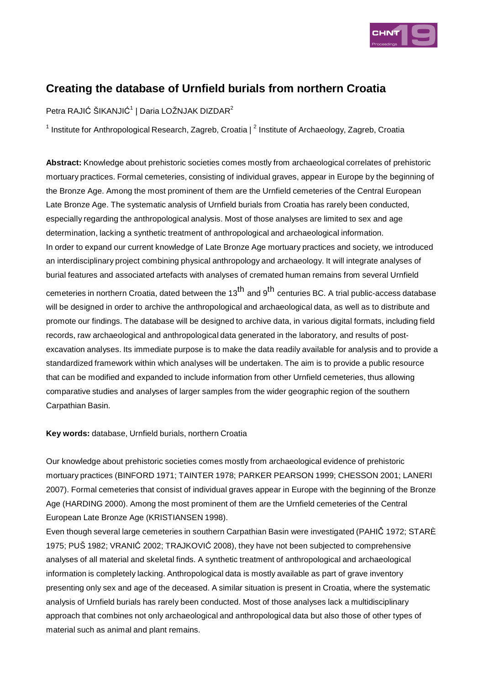

# **Creating the database of Urnfield burials from northern Croatia**

Petra RAJIĆ ŠIKANJIĆ $^\text{1}$  | Daria LOŽNJAK DIZDAR $^\text{2}$ 

<sup>1</sup> Institute for Anthropological Research, Zagreb, Croatia |  $^2$  Institute of Archaeology, Zagreb, Croatia

**Abstract:** Knowledge about prehistoric societies comes mostly from archaeological correlates of prehistoric mortuary practices. Formal cemeteries, consisting of individual graves, appear in Europe by the beginning of the Bronze Age. Among the most prominent of them are the Urnfield cemeteries of the Central European Late Bronze Age. The systematic analysis of Urnfield burials from Croatia has rarely been conducted, especially regarding the anthropological analysis. Most of those analyses are limited to sex and age determination, lacking a synthetic treatment of anthropological and archaeological information. In order to expand our current knowledge of Late Bronze Age mortuary practices and society, we introduced an interdisciplinary project combining physical anthropology and archaeology. It will integrate analyses of burial features and associated artefacts with analyses of cremated human remains from several Urnfield cemeteries in northern Croatia, dated between the 13<sup>th</sup> and 9<sup>th</sup> centuries BC. A trial public-access database will be designed in order to archive the anthropological and archaeological data, as well as to distribute and promote our findings. The database will be designed to archive data, in various digital formats, including field records, raw archaeological and anthropological data generated in the laboratory, and results of postexcavation analyses. Its immediate purpose is to make the data readily available for analysis and to provide a standardized framework within which analyses will be undertaken. The aim is to provide a public resource that can be modified and expanded to include information from other Urnfield cemeteries, thus allowing comparative studies and analyses of larger samples from the wider geographic region of the southern Carpathian Basin.

### **Key words:** database, Urnfield burials, northern Croatia

Our knowledge about prehistoric societies comes mostly from archaeological evidence of prehistoric mortuary practices (BINFORD 1971; TAINTER 1978; PARKER PEARSON 1999; CHESSON 2001; LANERI 2007). Formal cemeteries that consist of individual graves appear in Europe with the beginning of the Bronze Age (HARDING 2000). Among the most prominent of them are the Urnfield cemeteries of the Central European Late Bronze Age (KRISTIANSEN 1998).

Even though several large cemeteries in southern Carpathian Basin were investigated (PAHIČ 1972; STARÈ 1975; PUŠ 1982; VRANIĆ 2002; TRAJKOVIĆ 2008), they have not been subjected to comprehensive analyses of all material and skeletal finds. A synthetic treatment of anthropological and archaeological information is completely lacking. Anthropological data is mostly available as part of grave inventory presenting only sex and age of the deceased. A similar situation is present in Croatia, where the systematic analysis of Urnfield burials has rarely been conducted. Most of those analyses lack a multidisciplinary approach that combines not only archaeological and anthropological data but also those of other types of material such as animal and plant remains.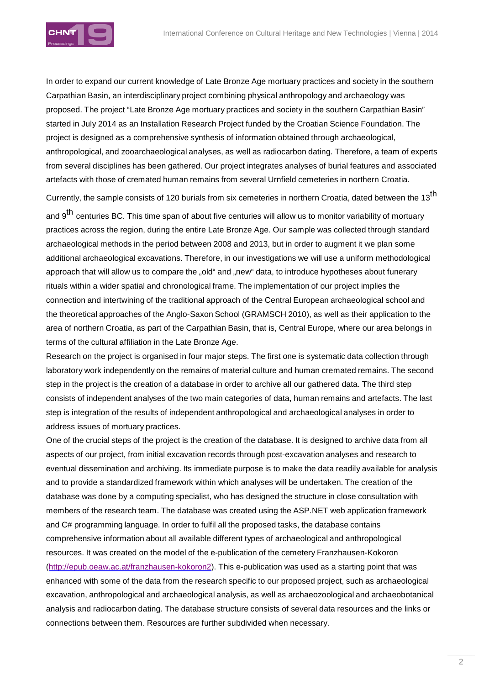

In order to expand our current knowledge of Late Bronze Age mortuary practices and society in the southern Carpathian Basin, an interdisciplinary project combining physical anthropology and archaeology was proposed. The project "Late Bronze Age mortuary practices and society in the southern Carpathian Basin" started in July 2014 as an Installation Research Project funded by the Croatian Science Foundation. The project is designed as a comprehensive synthesis of information obtained through archaeological, anthropological, and zooarchaeological analyses, as well as radiocarbon dating. Therefore, a team of experts from several disciplines has been gathered. Our project integrates analyses of burial features and associated artefacts with those of cremated human remains from several Urnfield cemeteries in northern Croatia.

Currently, the sample consists of 120 burials from six cemeteries in northern Croatia, dated between the 13<sup>th</sup>

and 9<sup>th</sup> centuries BC. This time span of about five centuries will allow us to monitor variability of mortuary practices across the region, during the entire Late Bronze Age. Our sample was collected through standard archaeological methods in the period between 2008 and 2013, but in order to augment it we plan some additional archaeological excavations. Therefore, in our investigations we will use a uniform methodological approach that will allow us to compare the "old" and "new" data, to introduce hypotheses about funerary rituals within a wider spatial and chronological frame. The implementation of our project implies the connection and intertwining of the traditional approach of the Central European archaeological school and the theoretical approaches of the Anglo-Saxon School (GRAMSCH 2010), as well as their application to the area of northern Croatia, as part of the Carpathian Basin, that is, Central Europe, where our area belongs in terms of the cultural affiliation in the Late Bronze Age.

Research on the project is organised in four major steps. The first one is systematic data collection through laboratory work independently on the remains of material culture and human cremated remains. The second step in the project is the creation of a database in order to archive all our gathered data. The third step consists of independent analyses of the two main categories of data, human remains and artefacts. The last step is integration of the results of independent anthropological and archaeological analyses in order to address issues of mortuary practices.

One of the crucial steps of the project is the creation of the database. It is designed to archive data from all aspects of our project, from initial excavation records through post-excavation analyses and research to eventual dissemination and archiving. Its immediate purpose is to make the data readily available for analysis and to provide a standardized framework within which analyses will be undertaken. The creation of the database was done by a computing specialist, who has designed the structure in close consultation with members of the research team. The database was created using the ASP.NET web application framework and C# programming language. In order to fulfil all the proposed tasks, the database contains comprehensive information about all available different types of archaeological and anthropological resources. It was created on the model of the e-publication of the cemetery Franzhausen-Kokoron (http://epub.oeaw.ac.at/franzhausen-kokoron2). This e-publication was used as a starting point that was enhanced with some of the data from the research specific to our proposed project, such as archaeological excavation, anthropological and archaeological analysis, as well as archaeozoological and archaeobotanical analysis and radiocarbon dating. The database structure consists of several data resources and the links or connections between them. Resources are further subdivided when necessary.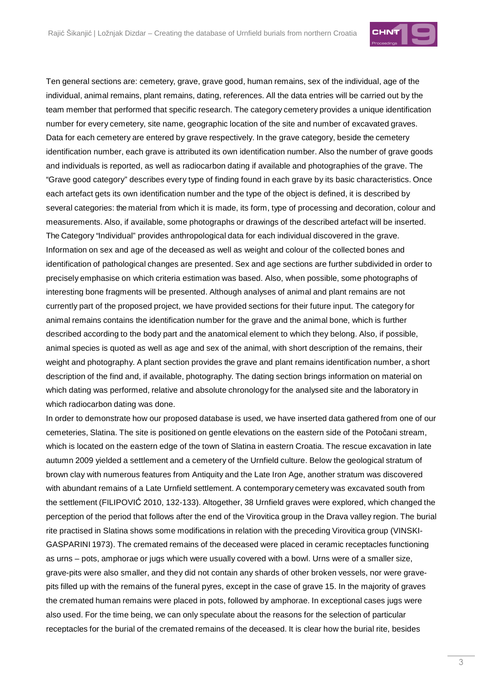

Ten general sections are: cemetery, grave, grave good, human remains, sex of the individual, age of the individual, animal remains, plant remains, dating, references. All the data entries will be carried out by the team member that performed that specific research. The category cemetery provides a unique identification number for every cemetery, site name, geographic location of the site and number of excavated graves. Data for each cemetery are entered by grave respectively. In the grave category, beside the cemetery identification number, each grave is attributed its own identification number. Also the number of grave goods and individuals is reported, as well as radiocarbon dating if available and photographies of the grave. The "Grave good category" describes every type of finding found in each grave by its basic characteristics. Once each artefact gets its own identification number and the type of the object is defined, it is described by several categories: the material from which it is made, its form, type of processing and decoration, colour and measurements. Also, if available, some photographs or drawings of the described artefact will be inserted. The Category "Individual" provides anthropological data for each individual discovered in the grave. Information on sex and age of the deceased as well as weight and colour of the collected bones and identification of pathological changes are presented. Sex and age sections are further subdivided in order to precisely emphasise on which criteria estimation was based. Also, when possible, some photographs of interesting bone fragments will be presented. Although analyses of animal and plant remains are not currently part of the proposed project, we have provided sections for their future input. The category for animal remains contains the identification number for the grave and the animal bone, which is further described according to the body part and the anatomical element to which they belong. Also, if possible, animal species is quoted as well as age and sex of the animal, with short description of the remains, their weight and photography. A plant section provides the grave and plant remains identification number, a short description of the find and, if available, photography. The dating section brings information on material on which dating was performed, relative and absolute chronology for the analysed site and the laboratory in which radiocarbon dating was done.

In order to demonstrate how our proposed database is used, we have inserted data gathered from one of our cemeteries, Slatina. The site is positioned on gentle elevations on the eastern side of the Potočani stream, which is located on the eastern edge of the town of Slatina in eastern Croatia. The rescue excavation in late autumn 2009 yielded a settlement and a cemetery of the Urnfield culture. Below the geological stratum of brown clay with numerous features from Antiquity and the Late Iron Age, another stratum was discovered with abundant remains of a Late Urnfield settlement. A contemporary cemetery was excavated south from the settlement (FILIPOVIĆ 2010, 132-133). Altogether, 38 Urnfield graves were explored, which changed the perception of the period that follows after the end of the Virovitica group in the Drava valley region. The burial rite practised in Slatina shows some modifications in relation with the preceding Virovitica group (VINSKI-GASPARINI 1973). The cremated remains of the deceased were placed in ceramic receptacles functioning as urns – pots, amphorae or jugs which were usually covered with a bowl. Urns were of a smaller size, grave-pits were also smaller, and they did not contain any shards of other broken vessels, nor were gravepits filled up with the remains of the funeral pyres, except in the case of grave 15. In the majority of graves the cremated human remains were placed in pots, followed by amphorae. In exceptional cases jugs were also used. For the time being, we can only speculate about the reasons for the selection of particular receptacles for the burial of the cremated remains of the deceased. It is clear how the burial rite, besides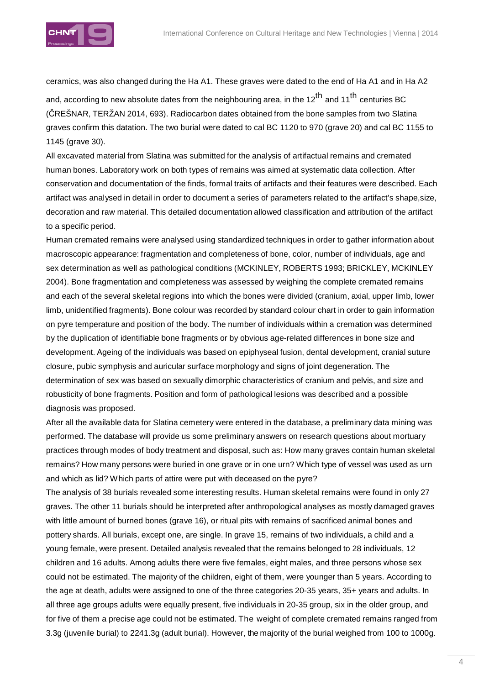

ceramics, was also changed during the Ha A1. These graves were dated to the end of Ha A1 and in Ha A2

and, according to new absolute dates from the neighbouring area, in the 12<sup>th</sup> and 11<sup>th</sup> centuries BC (ČREŠNAR, TERŽAN 2014, 693). Radiocarbon dates obtained from the bone samples from two Slatina graves confirm this datation. The two burial were dated to cal BC 1120 to 970 (grave 20) and cal BC 1155 to 1145 (grave 30).

All excavated material from Slatina was submitted for the analysis of artifactual remains and cremated human bones. Laboratory work on both types of remains was aimed at systematic data collection. After conservation and documentation of the finds, formal traits of artifacts and their features were described. Each artifact was analysed in detail in order to document a series of parameters related to the artifact's shape,size, decoration and raw material. This detailed documentation allowed classification and attribution of the artifact to a specific period.

Human cremated remains were analysed using standardized techniques in order to gather information about macroscopic appearance: fragmentation and completeness of bone, color, number of individuals, age and sex determination as well as pathological conditions (MCKINLEY, ROBERTS 1993; BRICKLEY, MCKINLEY 2004). Bone fragmentation and completeness was assessed by weighing the complete cremated remains and each of the several skeletal regions into which the bones were divided (cranium, axial, upper limb, lower limb, unidentified fragments). Bone colour was recorded by standard colour chart in order to gain information on pyre temperature and position of the body. The number of individuals within a cremation was determined by the duplication of identifiable bone fragments or by obvious age-related differences in bone size and development. Ageing of the individuals was based on epiphyseal fusion, dental development, cranial suture closure, pubic symphysis and auricular surface morphology and signs of joint degeneration. The determination of sex was based on sexually dimorphic characteristics of cranium and pelvis, and size and robusticity of bone fragments. Position and form of pathological lesions was described and a possible diagnosis was proposed.

After all the available data for Slatina cemetery were entered in the database, a preliminary data mining was performed. The database will provide us some preliminary answers on research questions about mortuary practices through modes of body treatment and disposal, such as: How many graves contain human skeletal remains? How many persons were buried in one grave or in one urn? Which type of vessel was used as urn and which as lid? Which parts of attire were put with deceased on the pyre?

The analysis of 38 burials revealed some interesting results. Human skeletal remains were found in only 27 graves. The other 11 burials should be interpreted after anthropological analyses as mostly damaged graves with little amount of burned bones (grave 16), or ritual pits with remains of sacrificed animal bones and pottery shards. All burials, except one, are single. In grave 15, remains of two individuals, a child and a young female, were present. Detailed analysis revealed that the remains belonged to 28 individuals, 12 children and 16 adults. Among adults there were five females, eight males, and three persons whose sex could not be estimated. The majority of the children, eight of them, were younger than 5 years. According to the age at death, adults were assigned to one of the three categories 20-35 years, 35+ years and adults. In all three age groups adults were equally present, five individuals in 20-35 group, six in the older group, and for five of them a precise age could not be estimated. The weight of complete cremated remains ranged from 3.3g (juvenile burial) to 2241.3g (adult burial). However, the majority of the burial weighed from 100 to 1000g.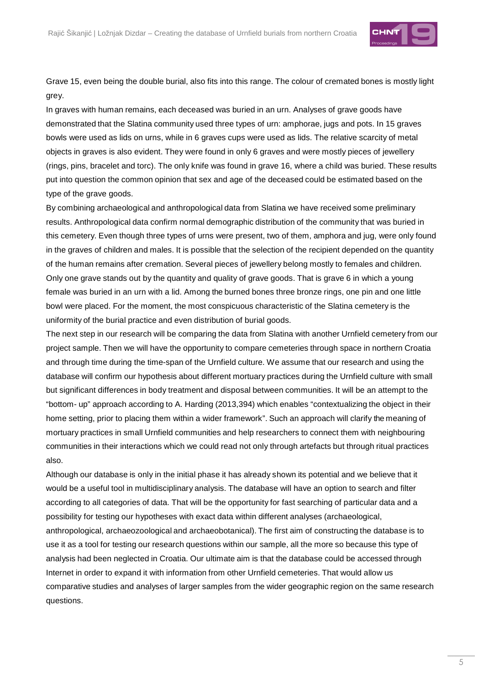

Grave 15, even being the double burial, also fits into this range. The colour of cremated bones is mostly light grey.

In graves with human remains, each deceased was buried in an urn. Analyses of grave goods have demonstrated that the Slatina community used three types of urn: amphorae, jugs and pots. In 15 graves bowls were used as lids on urns, while in 6 graves cups were used as lids. The relative scarcity of metal objects in graves is also evident. They were found in only 6 graves and were mostly pieces of jewellery (rings, pins, bracelet and torc). The only knife was found in grave 16, where a child was buried. These results put into question the common opinion that sex and age of the deceased could be estimated based on the type of the grave goods.

By combining archaeological and anthropological data from Slatina we have received some preliminary results. Anthropological data confirm normal demographic distribution of the community that was buried in this cemetery. Even though three types of urns were present, two of them, amphora and jug, were only found in the graves of children and males. It is possible that the selection of the recipient depended on the quantity of the human remains after cremation. Several pieces of jewellery belong mostly to females and children. Only one grave stands out by the quantity and quality of grave goods. That is grave 6 in which a young female was buried in an urn with a lid. Among the burned bones three bronze rings, one pin and one little bowl were placed. For the moment, the most conspicuous characteristic of the Slatina cemetery is the uniformity of the burial practice and even distribution of burial goods.

The next step in our research will be comparing the data from Slatina with another Urnfield cemetery from our project sample. Then we will have the opportunity to compare cemeteries through space in northern Croatia and through time during the time-span of the Urnfield culture. We assume that our research and using the database will confirm our hypothesis about different mortuary practices during the Urnfield culture with small but significant differences in body treatment and disposal between communities. It will be an attempt to the "bottom- up" approach according to A. Harding (2013,394) which enables "contextualizing the object in their home setting, prior to placing them within a wider framework". Such an approach will clarify the meaning of mortuary practices in small Urnfield communities and help researchers to connect them with neighbouring communities in their interactions which we could read not only through artefacts but through ritual practices also.

Although our database is only in the initial phase it has already shown its potential and we believe that it would be a useful tool in multidisciplinary analysis. The database will have an option to search and filter according to all categories of data. That will be the opportunity for fast searching of particular data and a possibility for testing our hypotheses with exact data within different analyses (archaeological, anthropological, archaeozoological and archaeobotanical). The first aim of constructing the database is to use it as a tool for testing our research questions within our sample, all the more so because this type of analysis had been neglected in Croatia. Our ultimate aim is that the database could be accessed through Internet in order to expand it with information from other Urnfield cemeteries. That would allow us comparative studies and analyses of larger samples from the wider geographic region on the same research questions.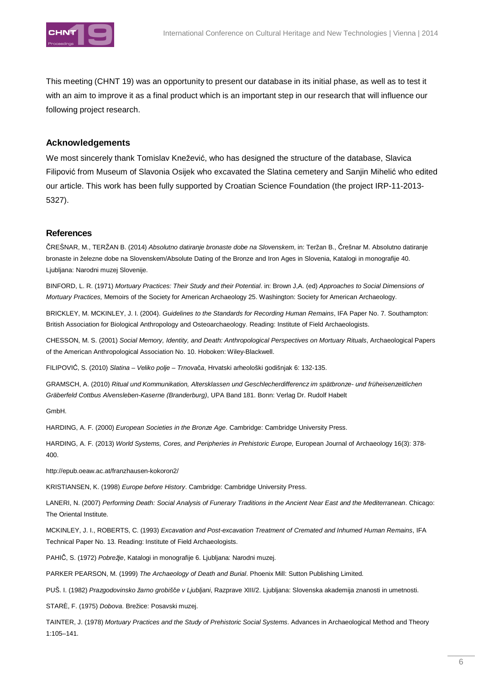

This meeting (CHNT 19) was an opportunity to present our database in its initial phase, as well as to test it with an aim to improve it as a final product which is an important step in our research that will influence our following project research.

### **Acknowledgements**

We most sincerely thank Tomislav Knežević, who has designed the structure of the database, Slavica Filipović from Museum of Slavonia Osijek who excavated the Slatina cemetery and Sanjin Mihelić who edited our article. This work has been fully supported by Croatian Science Foundation (the project IRP-11-2013- 5327).

### **References**

ČREŠNAR, M., TERŽAN B. (2014) Absolutno datiranje bronaste dobe na Slovenskem, in: Teržan B., Črešnar M. Absolutno datiranje bronaste in železne dobe na Slovenskem/Absolute Dating of the Bronze and Iron Ages in Slovenia, Katalogi in monografije 40. Ljubljana: Narodni muzej Slovenije.

BINFORD, L. R. (1971) Mortuary Practices: Their Study and their Potential. in: Brown J,A. (ed) Approaches to Social Dimensions of Mortuary Practices, Memoirs of the Society for American Archaeology 25. Washington: Society for American Archaeology.

BRICKLEY, M. MCKINLEY, J. I. (2004). Guidelines to the Standards for Recording Human Remains, IFA Paper No. 7. Southampton: British Association for Biological Anthropology and Osteoarchaeology. Reading: Institute of Field Archaeologists.

CHESSON, M. S. (2001) Social Memory, Identity, and Death: Anthropological Perspectives on Mortuary Rituals, Archaeological Papers of the American Anthropological Association No. 10. Hoboken: Wiley-Blackwell.

FILIPOVIĆ, S. (2010) Slatina – Veliko polje – Trnovača, Hrvatski arheološki godišnjak 6: 132-135.

GRAMSCH, A. (2010) Ritual und Kommunikation, Altersklassen und Geschlecherdifferencz im spätbronze- und früheisenzeitlichen Gräberfeld Cottbus Alvensleben-Kaserne (Branderburg), UPA Band 181. Bonn: Verlag Dr. Rudolf Habelt

GmbH.

HARDING, A. F. (2000) European Societies in the Bronze Age. Cambridge: Cambridge University Press.

HARDING, A. F. (2013) World Systems, Cores, and Peripheries in Prehistoric Europe, European Journal of Archaeology 16(3): 378- 400.

http://epub.oeaw.ac.at/franzhausen-kokoron2/

KRISTIANSEN, K. (1998) Europe before History. Cambridge: Cambridge University Press.

LANERI, N. (2007) Performing Death: Social Analysis of Funerary Traditions in the Ancient Near East and the Mediterranean. Chicago: The Oriental Institute.

MCKINLEY, J. I., ROBERTS, C. (1993) Excavation and Post-excavation Treatment of Cremated and Inhumed Human Remains, IFA Technical Paper No. 13. Reading: Institute of Field Archaeologists.

PAHIČ, S. (1972) Pobrežje, Katalogi in monografije 6. Liubliana: Narodni muzej.

PARKER PEARSON, M. (1999) The Archaeology of Death and Burial. Phoenix Mill: Sutton Publishing Limited.

PUŠ. I. (1982) Prazgodovinsko žarno grobišče v Ljubljani, Razprave XIII/2. Ljubljana: Slovenska akademija znanosti in umetnosti.

STARÈ, F. (1975) Dobova. Brežice: Posavski muzej.

TAINTER, J. (1978) Mortuary Practices and the Study of Prehistoric Social Systems. Advances in Archaeological Method and Theory 1:105–141.